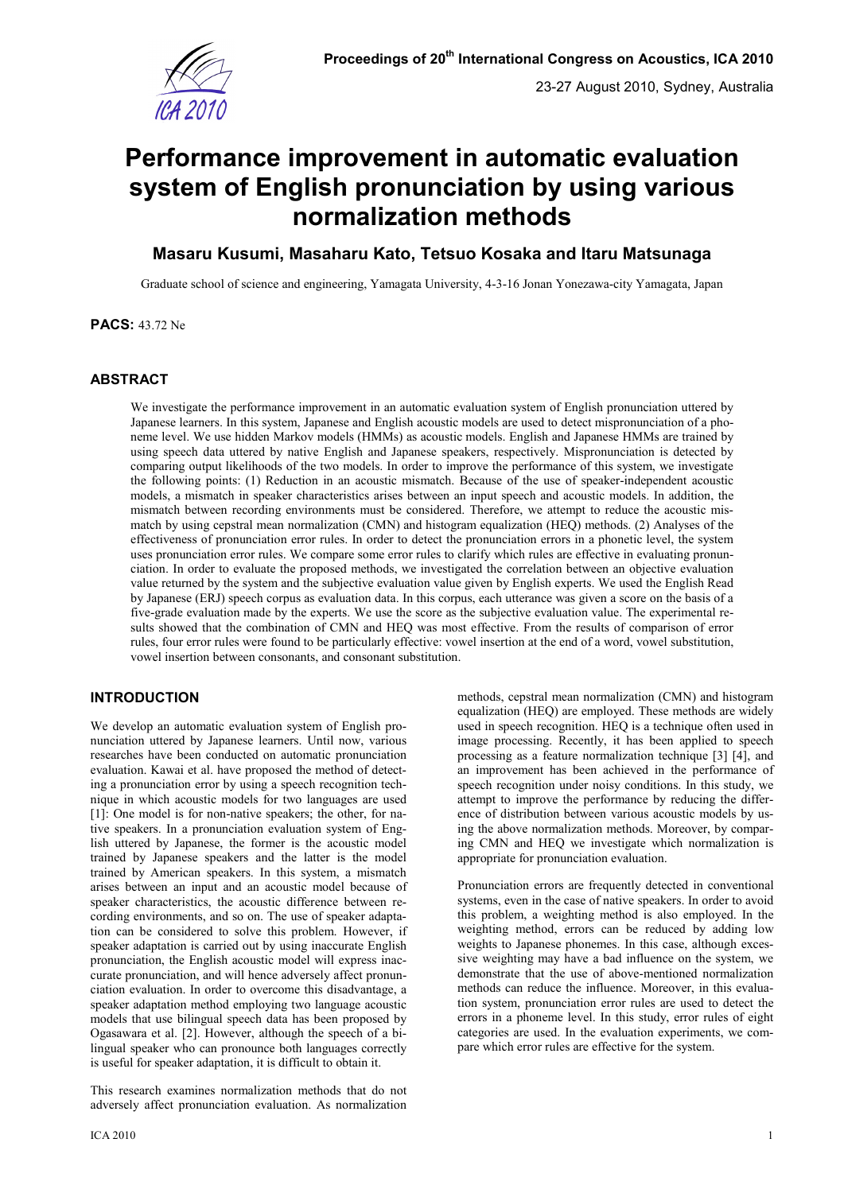

# **Performance improvement in automatic evaluation system of English pronunciation by using various normalization methods**

## **Masaru Kusumi, Masaharu Kato, Tetsuo Kosaka and Itaru Matsunaga**

Graduate school of science and engineering, Yamagata University, 4-3-16 Jonan Yonezawa-city Yamagata, Japan

**PACS:** 43.72 Ne

## **ABSTRACT**

We investigate the performance improvement in an automatic evaluation system of English pronunciation uttered by Japanese learners. In this system, Japanese and English acoustic models are used to detect mispronunciation of a phoneme level. We use hidden Markov models (HMMs) as acoustic models. English and Japanese HMMs are trained by using speech data uttered by native English and Japanese speakers, respectively. Mispronunciation is detected by comparing output likelihoods of the two models. In order to improve the performance of this system, we investigate the following points: (1) Reduction in an acoustic mismatch. Because of the use of speaker-independent acoustic models, a mismatch in speaker characteristics arises between an input speech and acoustic models. In addition, the mismatch between recording environments must be considered. Therefore, we attempt to reduce the acoustic mismatch by using cepstral mean normalization (CMN) and histogram equalization (HEQ) methods. (2) Analyses of the effectiveness of pronunciation error rules. In order to detect the pronunciation errors in a phonetic level, the system uses pronunciation error rules. We compare some error rules to clarify which rules are effective in evaluating pronunciation. In order to evaluate the proposed methods, we investigated the correlation between an objective evaluation value returned by the system and the subjective evaluation value given by English experts. We used the English Read by Japanese (ERJ) speech corpus as evaluation data. In this corpus, each utterance was given a score on the basis of a five-grade evaluation made by the experts. We use the score as the subjective evaluation value. The experimental results showed that the combination of CMN and HEQ was most effective. From the results of comparison of error rules, four error rules were found to be particularly effective: vowel insertion at the end of a word, vowel substitution, vowel insertion between consonants, and consonant substitution.

## **INTRODUCTION**

We develop an automatic evaluation system of English pronunciation uttered by Japanese learners. Until now, various researches have been conducted on automatic pronunciation evaluation. Kawai et al. have proposed the method of detecting a pronunciation error by using a speech recognition technique in which acoustic models for two languages are used [1]: One model is for non-native speakers; the other, for native speakers. In a pronunciation evaluation system of English uttered by Japanese, the former is the acoustic model trained by Japanese speakers and the latter is the model trained by American speakers. In this system, a mismatch arises between an input and an acoustic model because of speaker characteristics, the acoustic difference between recording environments, and so on. The use of speaker adaptation can be considered to solve this problem. However, if speaker adaptation is carried out by using inaccurate English pronunciation, the English acoustic model will express inaccurate pronunciation, and will hence adversely affect pronunciation evaluation. In order to overcome this disadvantage, a speaker adaptation method employing two language acoustic models that use bilingual speech data has been proposed by Ogasawara et al. [2]. However, although the speech of a bilingual speaker who can pronounce both languages correctly is useful for speaker adaptation, it is difficult to obtain it.

This research examines normalization methods that do not adversely affect pronunciation evaluation. As normalization methods, cepstral mean normalization (CMN) and histogram equalization (HEQ) are employed. These methods are widely used in speech recognition. HEQ is a technique often used in image processing. Recently, it has been applied to speech processing as a feature normalization technique [3] [4], and an improvement has been achieved in the performance of speech recognition under noisy conditions. In this study, we attempt to improve the performance by reducing the difference of distribution between various acoustic models by using the above normalization methods. Moreover, by comparing CMN and HEQ we investigate which normalization is appropriate for pronunciation evaluation.

Pronunciation errors are frequently detected in conventional systems, even in the case of native speakers. In order to avoid this problem, a weighting method is also employed. In the weighting method, errors can be reduced by adding low weights to Japanese phonemes. In this case, although excessive weighting may have a bad influence on the system, we demonstrate that the use of above-mentioned normalization methods can reduce the influence. Moreover, in this evaluation system, pronunciation error rules are used to detect the errors in a phoneme level. In this study, error rules of eight categories are used. In the evaluation experiments, we compare which error rules are effective for the system.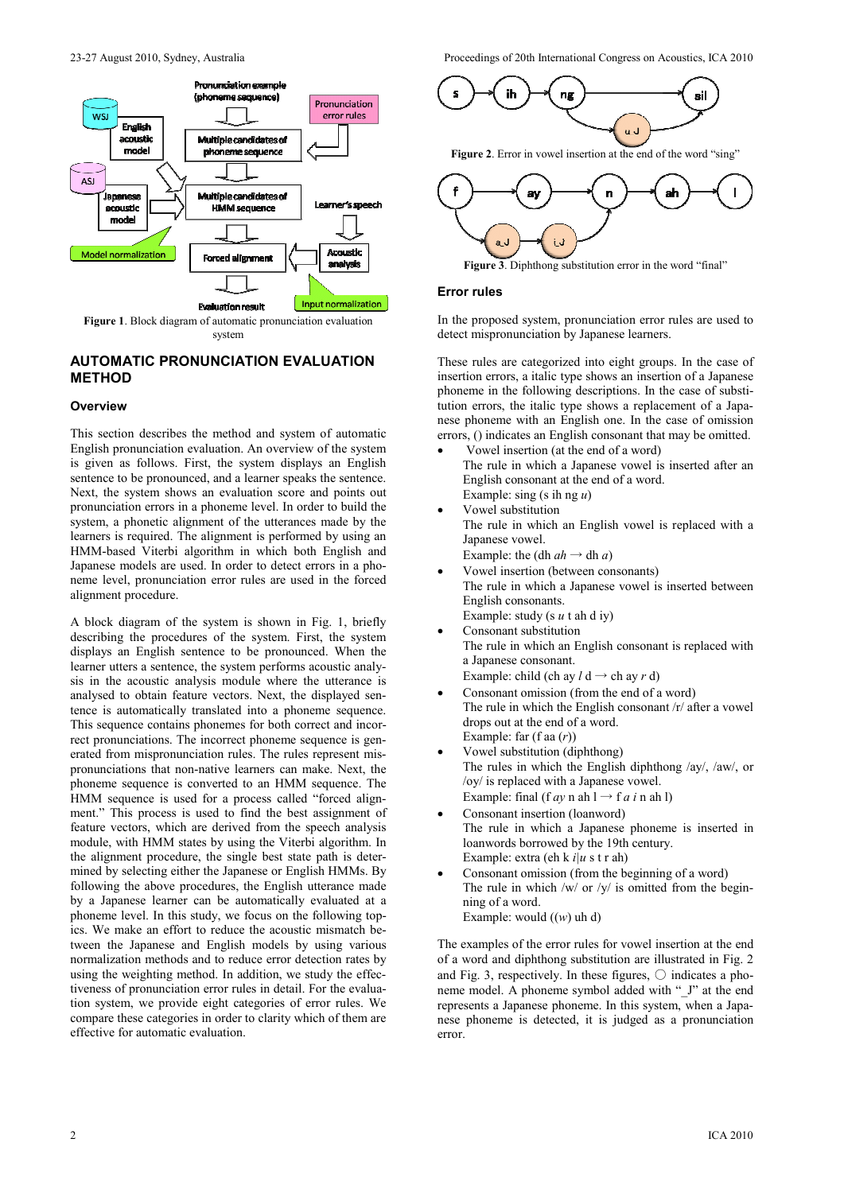

## **AUTOMATIC PRONUNCIATION EVALUATION METHOD**

#### **Overview**

This section describes the method and system of automatic English pronunciation evaluation. An overview of the system is given as follows. First, the system displays an English sentence to be pronounced, and a learner speaks the sentence. Next, the system shows an evaluation score and points out pronunciation errors in a phoneme level. In order to build the system, a phonetic alignment of the utterances made by the learners is required. The alignment is performed by using an HMM-based Viterbi algorithm in which both English and Japanese models are used. In order to detect errors in a phoneme level, pronunciation error rules are used in the forced alignment procedure.

A block diagram of the system is shown in Fig. 1, briefly describing the procedures of the system. First, the system displays an English sentence to be pronounced. When the learner utters a sentence, the system performs acoustic analysis in the acoustic analysis module where the utterance is analysed to obtain feature vectors. Next, the displayed sentence is automatically translated into a phoneme sequence. This sequence contains phonemes for both correct and incorrect pronunciations. The incorrect phoneme sequence is generated from mispronunciation rules. The rules represent mispronunciations that non-native learners can make. Next, the phoneme sequence is converted to an HMM sequence. The HMM sequence is used for a process called "forced alignment." This process is used to find the best assignment of feature vectors, which are derived from the speech analysis module, with HMM states by using the Viterbi algorithm. In the alignment procedure, the single best state path is determined by selecting either the Japanese or English HMMs. By following the above procedures, the English utterance made by a Japanese learner can be automatically evaluated at a phoneme level. In this study, we focus on the following topics. We make an effort to reduce the acoustic mismatch between the Japanese and English models by using various normalization methods and to reduce error detection rates by using the weighting method. In addition, we study the effectiveness of pronunciation error rules in detail. For the evaluation system, we provide eight categories of error rules. We compare these categories in order to clarity which of them are effective for automatic evaluation.

23-27 August 2010, Sydney, Australia Proceedings of 20th International Congress on Acoustics, ICA 2010



Figure 2. Error in vowel insertion at the end of the word "sing"





## **Error rules**

In the proposed system, pronunciation error rules are used to detect mispronunciation by Japanese learners.

These rules are categorized into eight groups. In the case of insertion errors, a italic type shows an insertion of a Japanese phoneme in the following descriptions. In the case of substitution errors, the italic type shows a replacement of a Japanese phoneme with an English one. In the case of omission errors, () indicates an English consonant that may be omitted.

- Vowel insertion (at the end of a word) The rule in which a Japanese vowel is inserted after an English consonant at the end of a word.
- Example: sing (s ih ng *u*) • Vowel substitution The rule in which an English vowel is replaced with a Japanese vowel.

Example: the (dh  $ah \rightarrow dh a$ )

- Vowel insertion (between consonants) The rule in which a Japanese vowel is inserted between English consonants. Example: study (s *u* t ah d iy)
- Consonant substitution The rule in which an English consonant is replaced with a Japanese consonant.

Example: child (ch ay  $l$  d  $\rightarrow$  ch ay  $r$  d)

- Consonant omission (from the end of a word) The rule in which the English consonant /r/ after a vowel drops out at the end of a word. Example: far (f aa (*r*))
- Vowel substitution (diphthong) The rules in which the English diphthong /ay/, /aw/, or /oy/ is replaced with a Japanese vowel. Example: final (f  $ay$  n ah l  $\rightarrow$  f  $a$  i n ah l)
- Consonant insertion (loanword) The rule in which a Japanese phoneme is inserted in loanwords borrowed by the 19th century. Example: extra (eh k *i|u* s t r ah)
- Consonant omission (from the beginning of a word) The rule in which /w/ or /y/ is omitted from the beginning of a word. Example: would ((*w*) uh d)

The examples of the error rules for vowel insertion at the end of a word and diphthong substitution are illustrated in Fig. 2 and Fig. 3, respectively. In these figures,  $\circ$  indicates a phoneme model. A phoneme symbol added with " J" at the end represents a Japanese phoneme. In this system, when a Japanese phoneme is detected, it is judged as a pronunciation error.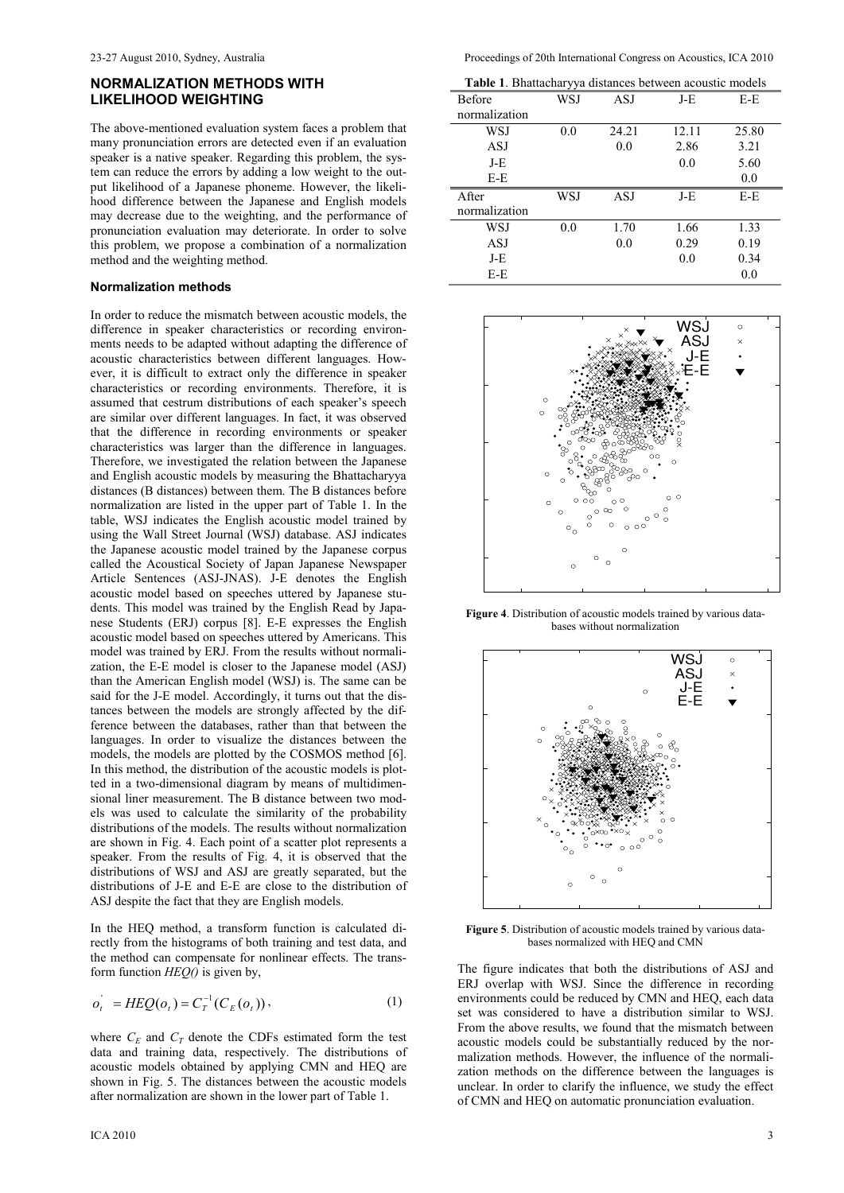## **NORMALIZATION METHODS WITH LIKELIHOOD WEIGHTING**

The above-mentioned evaluation system faces a problem that many pronunciation errors are detected even if an evaluation speaker is a native speaker. Regarding this problem, the system can reduce the errors by adding a low weight to the output likelihood of a Japanese phoneme. However, the likelihood difference between the Japanese and English models may decrease due to the weighting, and the performance of pronunciation evaluation may deteriorate. In order to solve this problem, we propose a combination of a normalization method and the weighting method.

#### **Normalization methods**

In order to reduce the mismatch between acoustic models, the difference in speaker characteristics or recording environments needs to be adapted without adapting the difference of acoustic characteristics between different languages. However, it is difficult to extract only the difference in speaker characteristics or recording environments. Therefore, it is assumed that cestrum distributions of each speaker's speech are similar over different languages. In fact, it was observed that the difference in recording environments or speaker characteristics was larger than the difference in languages. Therefore, we investigated the relation between the Japanese and English acoustic models by measuring the Bhattacharyya distances (B distances) between them. The B distances before normalization are listed in the upper part of Table 1. In the table, WSJ indicates the English acoustic model trained by using the Wall Street Journal (WSJ) database. ASJ indicates the Japanese acoustic model trained by the Japanese corpus called the Acoustical Society of Japan Japanese Newspaper Article Sentences (ASJ-JNAS). J-E denotes the English acoustic model based on speeches uttered by Japanese students. This model was trained by the English Read by Japanese Students (ERJ) corpus [8]. E-E expresses the English acoustic model based on speeches uttered by Americans. This model was trained by ERJ. From the results without normalization, the E-E model is closer to the Japanese model (ASJ) than the American English model (WSJ) is. The same can be said for the J-E model. Accordingly, it turns out that the distances between the models are strongly affected by the difference between the databases, rather than that between the languages. In order to visualize the distances between the models, the models are plotted by the COSMOS method [6]. In this method, the distribution of the acoustic models is plotted in a two-dimensional diagram by means of multidimensional liner measurement. The B distance between two models was used to calculate the similarity of the probability distributions of the models. The results without normalization are shown in Fig. 4. Each point of a scatter plot represents a speaker. From the results of Fig. 4, it is observed that the distributions of WSJ and ASJ are greatly separated, but the distributions of J-E and E-E are close to the distribution of ASJ despite the fact that they are English models.

In the HEQ method, a transform function is calculated directly from the histograms of both training and test data, and the method can compensate for nonlinear effects. The transform function *HEQ()* is given by,

$$
o_t^{\dagger} = HEQ(o_t) = C_T^{-1}(C_E(o_t)), \qquad (1)
$$

where  $C_E$  and  $C_T$  denote the CDFs estimated form the test data and training data, respectively. The distributions of acoustic models obtained by applying CMN and HEQ are shown in Fig. 5. The distances between the acoustic models after normalization are shown in the lower part of Table 1.

| Table 1. Bhattacharyya distances between acoustic models |     |       |       |       |  |  |  |
|----------------------------------------------------------|-----|-------|-------|-------|--|--|--|
| Before                                                   | WSJ | ASJ   | J-E   | E-E   |  |  |  |
| normalization                                            |     |       |       |       |  |  |  |
| WSJ                                                      | 0.0 | 24.21 | 12.11 | 25.80 |  |  |  |
| <b>ASJ</b>                                               |     | 0.0   | 2.86  | 3.21  |  |  |  |
| J-E                                                      |     |       | 0.0   | 5.60  |  |  |  |
| $E-E$                                                    |     |       |       | 0.0   |  |  |  |
| After                                                    | WSJ | ASJ   | J-E   | $E-E$ |  |  |  |
| normalization                                            |     |       |       |       |  |  |  |
| WSJ                                                      | 0.0 | 1.70  | 1.66  | 1.33  |  |  |  |
|                                                          |     |       |       |       |  |  |  |
| ASJ                                                      |     | 0.0   | 0.29  | 0.19  |  |  |  |
| J-E                                                      |     |       | 0.0   | 0.34  |  |  |  |



**Figure 4**. Distribution of acoustic models trained by various databases without normalization



**Figure 5**. Distribution of acoustic models trained by various databases normalized with HEQ and CMN

The figure indicates that both the distributions of ASJ and ERJ overlap with WSJ. Since the difference in recording environments could be reduced by CMN and HEQ, each data set was considered to have a distribution similar to WSJ. From the above results, we found that the mismatch between acoustic models could be substantially reduced by the normalization methods. However, the influence of the normalization methods on the difference between the languages is unclear. In order to clarify the influence, we study the effect of CMN and HEQ on automatic pronunciation evaluation.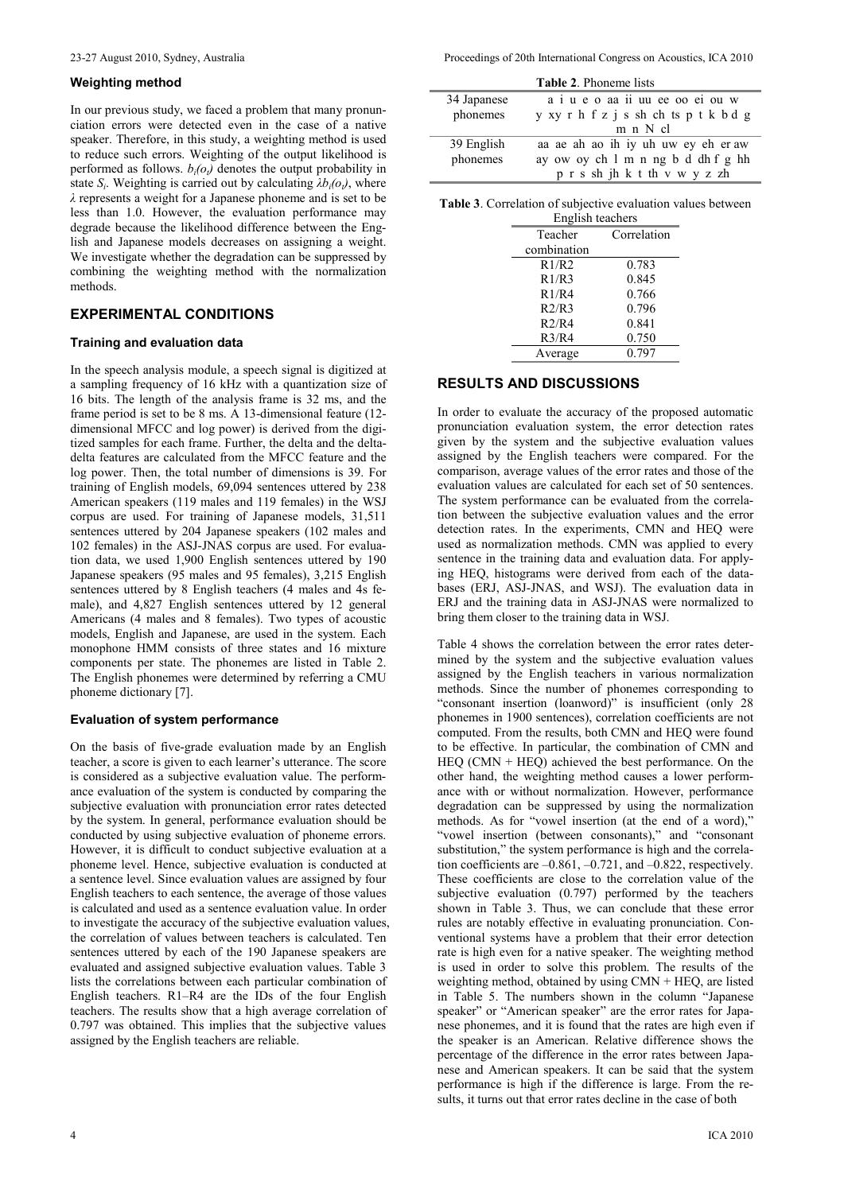#### **Weighting method**

In our previous study, we faced a problem that many pronunciation errors were detected even in the case of a native speaker. Therefore, in this study, a weighting method is used to reduce such errors. Weighting of the output likelihood is performed as follows.  $b_i(o_t)$  denotes the output probability in state  $S_i$ . Weighting is carried out by calculating  $\lambda b_i(o_i)$ , where *λ* represents a weight for a Japanese phoneme and is set to be less than 1.0. However, the evaluation performance may degrade because the likelihood difference between the English and Japanese models decreases on assigning a weight. We investigate whether the degradation can be suppressed by combining the weighting method with the normalization methods.

## **EXPERIMENTAL CONDITIONS**

#### **Training and evaluation data**

In the speech analysis module, a speech signal is digitized at a sampling frequency of 16 kHz with a quantization size of 16 bits. The length of the analysis frame is 32 ms, and the frame period is set to be 8 ms. A 13-dimensional feature (12 dimensional MFCC and log power) is derived from the digitized samples for each frame. Further, the delta and the deltadelta features are calculated from the MFCC feature and the log power. Then, the total number of dimensions is 39. For training of English models, 69,094 sentences uttered by 238 American speakers (119 males and 119 females) in the WSJ corpus are used. For training of Japanese models, 31,511 sentences uttered by 204 Japanese speakers (102 males and 102 females) in the ASJ-JNAS corpus are used. For evaluation data, we used 1,900 English sentences uttered by 190 Japanese speakers (95 males and 95 females), 3,215 English sentences uttered by 8 English teachers (4 males and 4s female), and 4,827 English sentences uttered by 12 general Americans (4 males and 8 females). Two types of acoustic models, English and Japanese, are used in the system. Each monophone HMM consists of three states and 16 mixture components per state. The phonemes are listed in Table 2. The English phonemes were determined by referring a CMU phoneme dictionary [7].

#### **Evaluation of system performance**

On the basis of five-grade evaluation made by an English teacher, a score is given to each learner's utterance. The score is considered as a subjective evaluation value. The performance evaluation of the system is conducted by comparing the subjective evaluation with pronunciation error rates detected by the system. In general, performance evaluation should be conducted by using subjective evaluation of phoneme errors. However, it is difficult to conduct subjective evaluation at a phoneme level. Hence, subjective evaluation is conducted at a sentence level. Since evaluation values are assigned by four English teachers to each sentence, the average of those values is calculated and used as a sentence evaluation value. In order to investigate the accuracy of the subjective evaluation values, the correlation of values between teachers is calculated. Ten sentences uttered by each of the 190 Japanese speakers are evaluated and assigned subjective evaluation values. Table 3 lists the correlations between each particular combination of English teachers. R1–R4 are the IDs of the four English teachers. The results show that a high average correlation of 0.797 was obtained. This implies that the subjective values assigned by the English teachers are reliable.

23-27 August 2010, Sydney, Australia Proceedings of 20th International Congress on Acoustics, ICA 2010

| <b>Table 2. Phoneme lists</b> |                                       |
|-------------------------------|---------------------------------------|
| 34 Japanese                   | a i u e o aa ii uu ee oo ei ou w      |
| phonemes                      | y xy r h f z j s sh ch ts p t k b d g |
|                               | m n N cl                              |
| 39 English                    | aa ae ah ao ih iy uh uw ey eh er aw   |
| phonemes                      | ay ow oy ch 1 m n ng b d dh f g hh    |
|                               | p r s sh jh k t th v w y z zh         |

| <b>Table 3.</b> Correlation of subjective evaluation values between |  |
|---------------------------------------------------------------------|--|
| English teachers                                                    |  |

| Eligiisii teachers |             |  |  |  |  |  |
|--------------------|-------------|--|--|--|--|--|
| Teacher            | Correlation |  |  |  |  |  |
| combination        |             |  |  |  |  |  |
| R1/R2              | 0.783       |  |  |  |  |  |
| R1/R3              | 0.845       |  |  |  |  |  |
| R1/R4              | 0.766       |  |  |  |  |  |
| R2/R3              | 0.796       |  |  |  |  |  |
| R2/R4              | 0.841       |  |  |  |  |  |
| R3/R4              | 0.750       |  |  |  |  |  |
| Average            | 0.797       |  |  |  |  |  |

## **RESULTS AND DISCUSSIONS**

In order to evaluate the accuracy of the proposed automatic pronunciation evaluation system, the error detection rates given by the system and the subjective evaluation values assigned by the English teachers were compared. For the comparison, average values of the error rates and those of the evaluation values are calculated for each set of 50 sentences. The system performance can be evaluated from the correlation between the subjective evaluation values and the error detection rates. In the experiments, CMN and HEQ were used as normalization methods. CMN was applied to every sentence in the training data and evaluation data. For applying HEQ, histograms were derived from each of the databases (ERJ, ASJ-JNAS, and WSJ). The evaluation data in ERJ and the training data in ASJ-JNAS were normalized to bring them closer to the training data in WSJ.

Table 4 shows the correlation between the error rates determined by the system and the subjective evaluation values assigned by the English teachers in various normalization methods. Since the number of phonemes corresponding to "consonant insertion (loanword)" is insufficient (only 28 phonemes in 1900 sentences), correlation coefficients are not computed. From the results, both CMN and HEQ were found to be effective. In particular, the combination of CMN and HEQ (CMN + HEQ) achieved the best performance. On the other hand, the weighting method causes a lower performance with or without normalization. However, performance degradation can be suppressed by using the normalization methods. As for "vowel insertion (at the end of a word)," "vowel insertion (between consonants)," and "consonant substitution," the system performance is high and the correlation coefficients are  $-0.861$ ,  $-0.721$ , and  $-0.822$ , respectively. These coefficients are close to the correlation value of the subjective evaluation (0.797) performed by the teachers shown in Table 3. Thus, we can conclude that these error rules are notably effective in evaluating pronunciation. Conventional systems have a problem that their error detection rate is high even for a native speaker. The weighting method is used in order to solve this problem. The results of the weighting method, obtained by using CMN + HEQ, are listed in Table 5. The numbers shown in the column "Japanese speaker" or "American speaker" are the error rates for Japanese phonemes, and it is found that the rates are high even if the speaker is an American. Relative difference shows the percentage of the difference in the error rates between Japanese and American speakers. It can be said that the system performance is high if the difference is large. From the results, it turns out that error rates decline in the case of both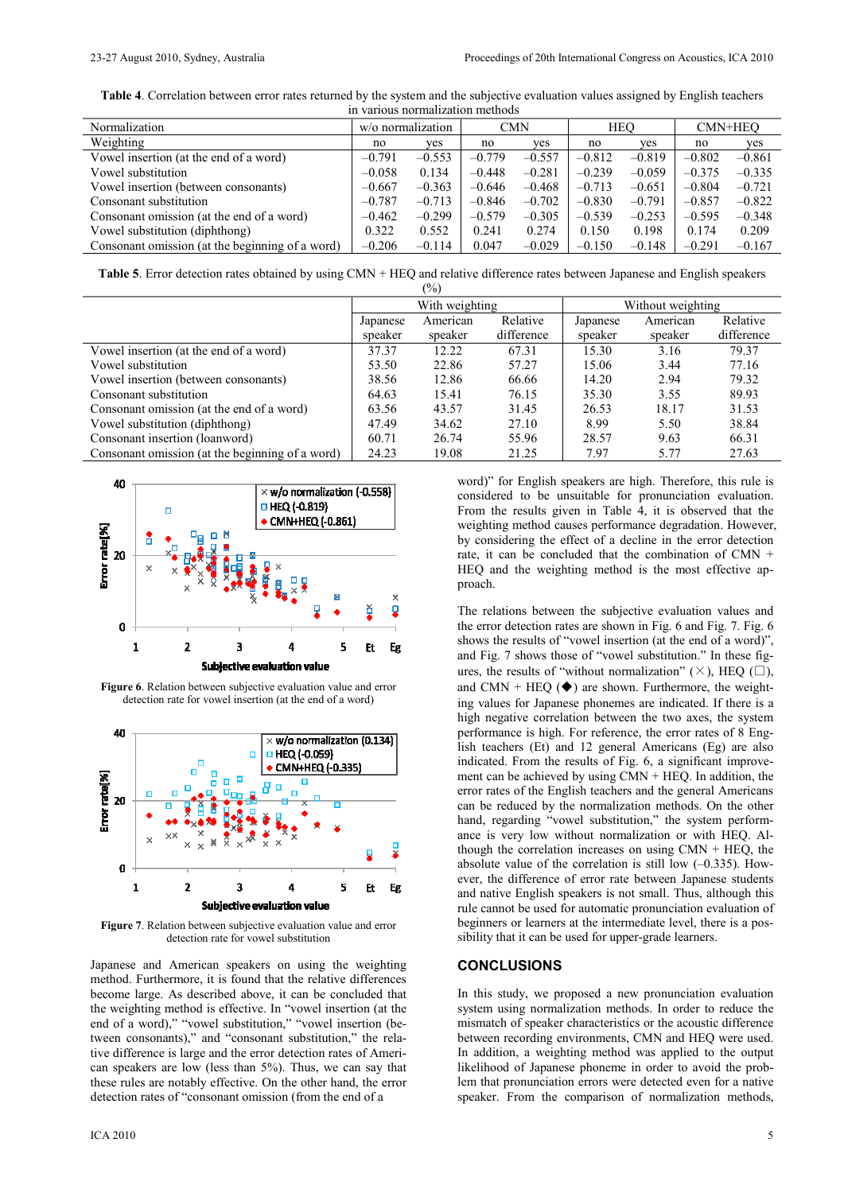**Table 4**. Correlation between error rates returned by the system and the subjective evaluation values assigned by English teachers in various normalization methods

| <u>m various normanzanon momous</u>             |                   |          |            |          |            |          |          |          |
|-------------------------------------------------|-------------------|----------|------------|----------|------------|----------|----------|----------|
| Normalization                                   | w/o normalization |          | <b>CMN</b> |          | <b>HEO</b> |          | CMN+HEO  |          |
| Weighting                                       | no                | ves      | no         | ves      | no         | yes      | no       | yes      |
| Vowel insertion (at the end of a word)          | $-0.791$          | $-0.553$ | $-0.779$   | $-0.557$ | $-0.812$   | $-0.819$ | $-0.802$ | $-0.861$ |
| Vowel substitution                              | $-0.058$          | 0.134    | $-0.448$   | $-0.281$ | $-0.239$   | $-0.059$ | $-0.375$ | $-0.335$ |
| Vowel insertion (between consonants)            | $-0.667$          | $-0.363$ | $-0.646$   | $-0.468$ | $-0.713$   | $-0.651$ | $-0.804$ | $-0.721$ |
| Consonant substitution                          | $-0.787$          | $-0.713$ | $-0.846$   | $-0.702$ | $-0.830$   | $-0.791$ | $-0.857$ | $-0.822$ |
| Consonant omission (at the end of a word)       | $-0.462$          | $-0.299$ | $-0.579$   | $-0.305$ | $-0.539$   | $-0.253$ | $-0.595$ | $-0.348$ |
| Vowel substitution (diphthong)                  | 0.322             | 0.552    | 0.241      | 0.274    | 0.150      | 0.198    | 0.174    | 0.209    |
| Consonant omission (at the beginning of a word) | $-0.206$          | $-0.114$ | 0.047      | $-0.029$ | $-0.150$   | $-0.148$ | $-0.291$ | $-0.167$ |

**Table 5**. Error detection rates obtained by using CMN + HEQ and relative difference rates between Japanese and English speakers  $(0/2)$ 

| 17 V J                                          |                                  |         |            |                   |          |            |  |  |
|-------------------------------------------------|----------------------------------|---------|------------|-------------------|----------|------------|--|--|
|                                                 | With weighting                   |         |            | Without weighting |          |            |  |  |
|                                                 | Relative<br>American<br>Japanese |         |            | Japanese          | American | Relative   |  |  |
|                                                 | speaker                          | speaker | difference | speaker           | speaker  | difference |  |  |
| Vowel insertion (at the end of a word)          | 37.37                            | 12.22   | 67.31      | 15.30             | 3.16     | 79.37      |  |  |
| Vowel substitution                              | 53.50                            | 22.86   | 57.27      | 15.06             | 3.44     | 77.16      |  |  |
| Vowel insertion (between consonants)            | 38.56                            | 12.86   | 66.66      | 14.20             | 2.94     | 79.32      |  |  |
| Consonant substitution                          | 64.63                            | 15.41   | 76.15      | 35.30             | 3.55     | 89.93      |  |  |
| Consonant omission (at the end of a word)       | 63.56                            | 43.57   | 31.45      | 26.53             | 18.17    | 31.53      |  |  |
| Vowel substitution (diphthong)                  | 47.49                            | 34.62   | 27.10      | 8.99              | 5.50     | 38.84      |  |  |
| Consonant insertion (loanword)                  | 60.71                            | 26.74   | 55.96      | 28.57             | 9.63     | 66.31      |  |  |
| Consonant omission (at the beginning of a word) | 24.23                            | 19.08   | 21.25      | 7.97              | 5.77     | 27.63      |  |  |



**Figure 6**. Relation between subjective evaluation value and error detection rate for vowel insertion (at the end of a word)



**Figure 7**. Relation between subjective evaluation value and error detection rate for vowel substitution

Japanese and American speakers on using the weighting method. Furthermore, it is found that the relative differences become large. As described above, it can be concluded that the weighting method is effective. In "vowel insertion (at the end of a word)," "vowel substitution," "vowel insertion (between consonants)," and "consonant substitution," the relative difference is large and the error detection rates of American speakers are low (less than 5%). Thus, we can say that these rules are notably effective. On the other hand, the error detection rates of "consonant omission (from the end of a

word)" for English speakers are high. Therefore, this rule is considered to be unsuitable for pronunciation evaluation. From the results given in Table 4, it is observed that the weighting method causes performance degradation. However, by considering the effect of a decline in the error detection rate, it can be concluded that the combination of CMN + HEQ and the weighting method is the most effective approach.

The relations between the subjective evaluation values and the error detection rates are shown in Fig. 6 and Fig. 7. Fig. 6 shows the results of "vowel insertion (at the end of a word)", and Fig. 7 shows those of "vowel substitution." In these figures, the results of "without normalization"  $(\times)$ , HEQ  $(\square)$ , and CMN + HEQ  $(\blacklozenge)$  are shown. Furthermore, the weighting values for Japanese phonemes are indicated. If there is a high negative correlation between the two axes, the system performance is high. For reference, the error rates of 8 English teachers (Et) and 12 general Americans (Eg) are also indicated. From the results of Fig. 6, a significant improvement can be achieved by using CMN + HEQ. In addition, the error rates of the English teachers and the general Americans can be reduced by the normalization methods. On the other hand, regarding "vowel substitution," the system performance is very low without normalization or with HEQ. Although the correlation increases on using  $CMN + HEQ$ , the absolute value of the correlation is still low (–0.335). However, the difference of error rate between Japanese students and native English speakers is not small. Thus, although this rule cannot be used for automatic pronunciation evaluation of beginners or learners at the intermediate level, there is a possibility that it can be used for upper-grade learners.

#### **CONCLUSIONS**

In this study, we proposed a new pronunciation evaluation system using normalization methods. In order to reduce the mismatch of speaker characteristics or the acoustic difference between recording environments, CMN and HEQ were used. In addition, a weighting method was applied to the output likelihood of Japanese phoneme in order to avoid the problem that pronunciation errors were detected even for a native speaker. From the comparison of normalization methods,